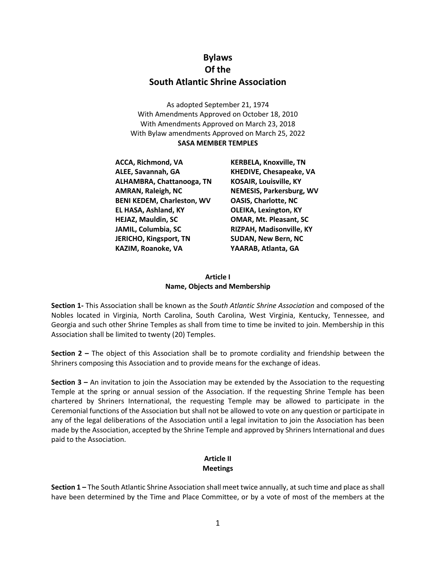# **Bylaws Of the South Atlantic Shrine Association**

As adopted September 21, 1974 With Amendments Approved on October 18, 2010 With Amendments Approved on March 23, 2018 With Bylaw amendments Approved on March 25, 2022 **SASA MEMBER TEMPLES**

**ACCA, Richmond, VA KERBELA, Knoxville, TN ALEE, Savannah, GA KHEDIVE, Chesapeake, VA ALHAMBRA, Chattanooga, TN KOSAIR, Louisville, KY AMRAN, Raleigh, NC NEMESIS, Parkersburg, WV BENI KEDEM, Charleston, WV OASIS, Charlotte, NC EL HASA, Ashland, KY OLEIKA, Lexington, KY HEJAZ, Mauldin, SC OMAR, Mt. Pleasant, SC JAMIL, Columbia, SC RIZPAH, Madisonville, KY JERICHO, Kingsport, TN SUDAN, New Bern, NC KAZIM, Roanoke, VA YAARAB, Atlanta, GA**

#### **Article I Name, Objects and Membership**

**Section 1-** This Association shall be known as the *South Atlantic Shrine Association* and composed of the Nobles located in Virginia, North Carolina, South Carolina, West Virginia, Kentucky, Tennessee, and Georgia and such other Shrine Temples as shall from time to time be invited to join. Membership in this Association shall be limited to twenty (20) Temples.

**Section 2 –** The object of this Association shall be to promote cordiality and friendship between the Shriners composing this Association and to provide means for the exchange of ideas.

**Section 3 –** An invitation to join the Association may be extended by the Association to the requesting Temple at the spring or annual session of the Association. If the requesting Shrine Temple has been chartered by Shriners International, the requesting Temple may be allowed to participate in the Ceremonial functions of the Association but shall not be allowed to vote on any question or participate in any of the legal deliberations of the Association until a legal invitation to join the Association has been made by the Association, accepted by the Shrine Temple and approved by Shriners International and dues paid to the Association.

# **Article II Meetings**

**Section 1 –** The South Atlantic Shrine Association shall meet twice annually, at such time and place as shall have been determined by the Time and Place Committee, or by a vote of most of the members at the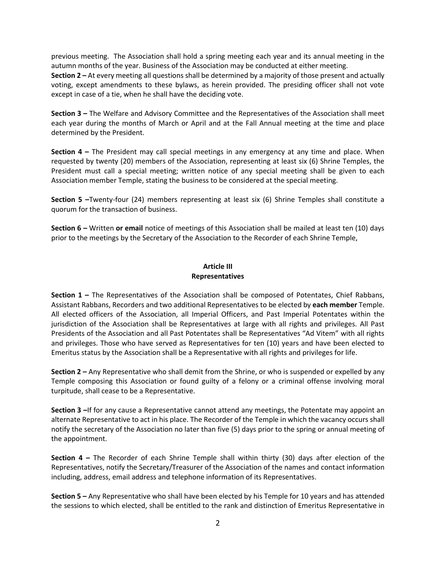previous meeting. The Association shall hold a spring meeting each year and its annual meeting in the autumn months of the year. Business of the Association may be conducted at either meeting.

**Section 2 –** At every meeting all questions shall be determined by a majority of those present and actually voting, except amendments to these bylaws, as herein provided. The presiding officer shall not vote except in case of a tie, when he shall have the deciding vote.

**Section 3 –** The Welfare and Advisory Committee and the Representatives of the Association shall meet each year during the months of March or April and at the Fall Annual meeting at the time and place determined by the President.

**Section 4 –** The President may call special meetings in any emergency at any time and place. When requested by twenty (20) members of the Association, representing at least six (6) Shrine Temples, the President must call a special meeting; written notice of any special meeting shall be given to each Association member Temple, stating the business to be considered at the special meeting.

**Section 5 –**Twenty-four (24) members representing at least six (6) Shrine Temples shall constitute a quorum for the transaction of business.

**Section 6 –** Written **or email** notice of meetings of this Association shall be mailed at least ten (10) days prior to the meetings by the Secretary of the Association to the Recorder of each Shrine Temple,

#### **Article III Representatives**

**Section 1 –** The Representatives of the Association shall be composed of Potentates, Chief Rabbans, Assistant Rabbans, Recorders and two additional Representatives to be elected by **each member** Temple. All elected officers of the Association, all Imperial Officers, and Past Imperial Potentates within the jurisdiction of the Association shall be Representatives at large with all rights and privileges. All Past Presidents of the Association and all Past Potentates shall be Representatives "Ad Vitem" with all rights and privileges. Those who have served as Representatives for ten (10) years and have been elected to Emeritus status by the Association shall be a Representative with all rights and privileges for life.

**Section 2 –** Any Representative who shall demit from the Shrine, or who is suspended or expelled by any Temple composing this Association or found guilty of a felony or a criminal offense involving moral turpitude, shall cease to be a Representative.

**Section 3 –**If for any cause a Representative cannot attend any meetings, the Potentate may appoint an alternate Representative to act in his place. The Recorder of the Temple in which the vacancy occurs shall notify the secretary of the Association no later than five (5) days prior to the spring or annual meeting of the appointment.

**Section 4 –** The Recorder of each Shrine Temple shall within thirty (30) days after election of the Representatives, notify the Secretary/Treasurer of the Association of the names and contact information including, address, email address and telephone information of its Representatives.

**Section 5 –** Any Representative who shall have been elected by his Temple for 10 years and has attended the sessions to which elected, shall be entitled to the rank and distinction of Emeritus Representative in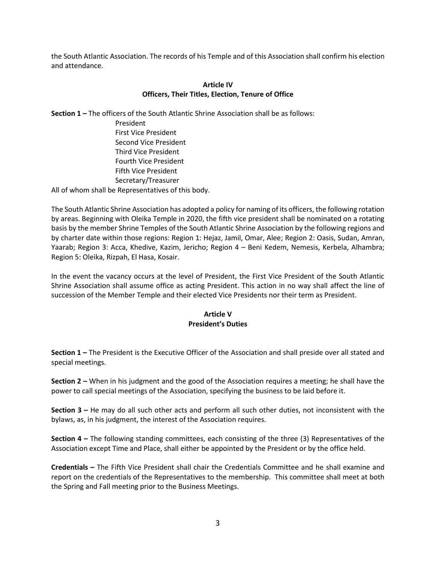the South Atlantic Association. The records of his Temple and of this Association shall confirm his election and attendance.

#### **Article IV Officers, Their Titles, Election, Tenure of Office**

**Section 1 –** The officers of the South Atlantic Shrine Association shall be as follows:

President First Vice President Second Vice President Third Vice President Fourth Vice President Fifth Vice President Secretary/Treasurer

All of whom shall be Representatives of this body.

The South Atlantic Shrine Association has adopted a policy for naming of its officers, the following rotation by areas. Beginning with Oleika Temple in 2020, the fifth vice president shall be nominated on a rotating basis by the member Shrine Temples of the South Atlantic Shrine Association by the following regions and by charter date within those regions: Region 1: Hejaz, Jamil, Omar, Alee; Region 2: Oasis, Sudan, Amran, Yaarab; Region 3: Acca, Khedive, Kazim, Jericho; Region 4 – Beni Kedem, Nemesis, Kerbela, Alhambra; Region 5: Oleika, Rizpah, El Hasa, Kosair.

In the event the vacancy occurs at the level of President, the First Vice President of the South Atlantic Shrine Association shall assume office as acting President. This action in no way shall affect the line of succession of the Member Temple and their elected Vice Presidents nor their term as President.

# **Article V President's Duties**

**Section 1 –** The President is the Executive Officer of the Association and shall preside over all stated and special meetings.

**Section 2 –** When in his judgment and the good of the Association requires a meeting; he shall have the power to call special meetings of the Association, specifying the business to be laid before it.

**Section 3 –** He may do all such other acts and perform all such other duties, not inconsistent with the bylaws, as, in his judgment, the interest of the Association requires.

**Section 4 –** The following standing committees, each consisting of the three (3) Representatives of the Association except Time and Place, shall either be appointed by the President or by the office held.

**Credentials –** The Fifth Vice President shall chair the Credentials Committee and he shall examine and report on the credentials of the Representatives to the membership. This committee shall meet at both the Spring and Fall meeting prior to the Business Meetings.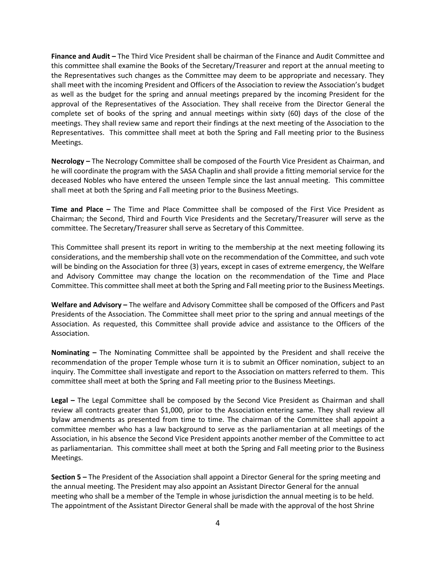**Finance and Audit –** The Third Vice President shall be chairman of the Finance and Audit Committee and this committee shall examine the Books of the Secretary/Treasurer and report at the annual meeting to the Representatives such changes as the Committee may deem to be appropriate and necessary. They shall meet with the incoming President and Officers of the Association to review the Association's budget as well as the budget for the spring and annual meetings prepared by the incoming President for the approval of the Representatives of the Association. They shall receive from the Director General the complete set of books of the spring and annual meetings within sixty (60) days of the close of the meetings. They shall review same and report their findings at the next meeting of the Association to the Representatives. This committee shall meet at both the Spring and Fall meeting prior to the Business Meetings.

**Necrology –** The Necrology Committee shall be composed of the Fourth Vice President as Chairman, and he will coordinate the program with the SASA Chaplin and shall provide a fitting memorial service for the deceased Nobles who have entered the unseen Temple since the last annual meeting. This committee shall meet at both the Spring and Fall meeting prior to the Business Meetings.

**Time and Place –** The Time and Place Committee shall be composed of the First Vice President as Chairman; the Second, Third and Fourth Vice Presidents and the Secretary/Treasurer will serve as the committee. The Secretary/Treasurer shall serve as Secretary of this Committee.

This Committee shall present its report in writing to the membership at the next meeting following its considerations, and the membership shall vote on the recommendation of the Committee, and such vote will be binding on the Association for three (3) years, except in cases of extreme emergency, the Welfare and Advisory Committee may change the location on the recommendation of the Time and Place Committee. This committee shall meet at both the Spring and Fall meeting prior to the Business Meetings.

**Welfare and Advisory –** The welfare and Advisory Committee shall be composed of the Officers and Past Presidents of the Association. The Committee shall meet prior to the spring and annual meetings of the Association. As requested, this Committee shall provide advice and assistance to the Officers of the Association.

**Nominating –** The Nominating Committee shall be appointed by the President and shall receive the recommendation of the proper Temple whose turn it is to submit an Officer nomination, subject to an inquiry. The Committee shall investigate and report to the Association on matters referred to them. This committee shall meet at both the Spring and Fall meeting prior to the Business Meetings.

**Legal –** The Legal Committee shall be composed by the Second Vice President as Chairman and shall review all contracts greater than \$1,000, prior to the Association entering same. They shall review all bylaw amendments as presented from time to time. The chairman of the Committee shall appoint a committee member who has a law background to serve as the parliamentarian at all meetings of the Association, in his absence the Second Vice President appoints another member of the Committee to act as parliamentarian. This committee shall meet at both the Spring and Fall meeting prior to the Business Meetings.

**Section 5 –** The President of the Association shall appoint a Director General for the spring meeting and the annual meeting. The President may also appoint an Assistant Director General for the annual meeting who shall be a member of the Temple in whose jurisdiction the annual meeting is to be held. The appointment of the Assistant Director General shall be made with the approval of the host Shrine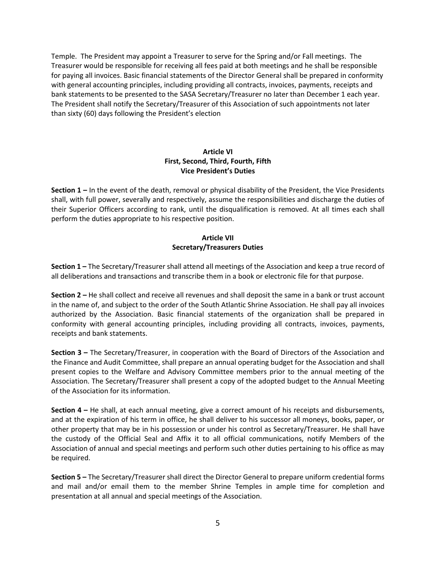Temple. The President may appoint a Treasurer to serve for the Spring and/or Fall meetings. The Treasurer would be responsible for receiving all fees paid at both meetings and he shall be responsible for paying all invoices. Basic financial statements of the Director General shall be prepared in conformity with general accounting principles, including providing all contracts, invoices, payments, receipts and bank statements to be presented to the SASA Secretary/Treasurer no later than December 1 each year. The President shall notify the Secretary/Treasurer of this Association of such appointments not later than sixty (60) days following the President's election

# **Article VI First, Second, Third, Fourth, Fifth Vice President's Duties**

**Section 1 –** In the event of the death, removal or physical disability of the President, the Vice Presidents shall, with full power, severally and respectively, assume the responsibilities and discharge the duties of their Superior Officers according to rank, until the disqualification is removed. At all times each shall perform the duties appropriate to his respective position.

# **Article VII Secretary/Treasurers Duties**

**Section 1 –** The Secretary/Treasurer shall attend all meetings of the Association and keep a true record of all deliberations and transactions and transcribe them in a book or electronic file for that purpose.

**Section 2 –** He shall collect and receive all revenues and shall deposit the same in a bank or trust account in the name of, and subject to the order of the South Atlantic Shrine Association. He shall pay all invoices authorized by the Association. Basic financial statements of the organization shall be prepared in conformity with general accounting principles, including providing all contracts, invoices, payments, receipts and bank statements.

**Section 3 –** The Secretary/Treasurer, in cooperation with the Board of Directors of the Association and the Finance and Audit Committee, shall prepare an annual operating budget for the Association and shall present copies to the Welfare and Advisory Committee members prior to the annual meeting of the Association. The Secretary/Treasurer shall present a copy of the adopted budget to the Annual Meeting of the Association for its information.

**Section 4 –** He shall, at each annual meeting, give a correct amount of his receipts and disbursements, and at the expiration of his term in office, he shall deliver to his successor all moneys, books, paper, or other property that may be in his possession or under his control as Secretary/Treasurer. He shall have the custody of the Official Seal and Affix it to all official communications, notify Members of the Association of annual and special meetings and perform such other duties pertaining to his office as may be required.

**Section 5 –** The Secretary/Treasurer shall direct the Director General to prepare uniform credential forms and mail and/or email them to the member Shrine Temples in ample time for completion and presentation at all annual and special meetings of the Association.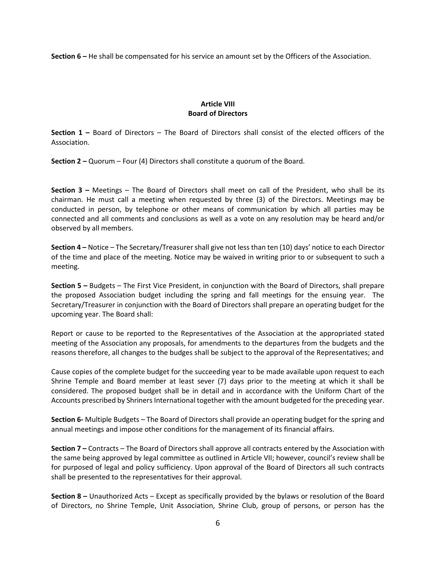**Section 6 –** He shall be compensated for his service an amount set by the Officers of the Association.

## **Article VIII Board of Directors**

**Section 1 –** Board of Directors – The Board of Directors shall consist of the elected officers of the Association.

**Section 2 –** Quorum – Four (4) Directors shall constitute a quorum of the Board.

**Section 3 –** Meetings – The Board of Directors shall meet on call of the President, who shall be its chairman. He must call a meeting when requested by three (3) of the Directors. Meetings may be conducted in person, by telephone or other means of communication by which all parties may be connected and all comments and conclusions as well as a vote on any resolution may be heard and/or observed by all members.

**Section 4 –** Notice – The Secretary/Treasurer shall give not less than ten (10) days' notice to each Director of the time and place of the meeting. Notice may be waived in writing prior to or subsequent to such a meeting.

**Section 5 –** Budgets – The First Vice President, in conjunction with the Board of Directors, shall prepare the proposed Association budget including the spring and fall meetings for the ensuing year. The Secretary/Treasurer in conjunction with the Board of Directors shall prepare an operating budget for the upcoming year. The Board shall:

Report or cause to be reported to the Representatives of the Association at the appropriated stated meeting of the Association any proposals, for amendments to the departures from the budgets and the reasons therefore, all changes to the budges shall be subject to the approval of the Representatives; and

Cause copies of the complete budget for the succeeding year to be made available upon request to each Shrine Temple and Board member at least sever (7) days prior to the meeting at which it shall be considered. The proposed budget shall be in detail and in accordance with the Uniform Chart of the Accounts prescribed by Shriners International together with the amount budgeted for the preceding year.

**Section 6-** Multiple Budgets – The Board of Directors shall provide an operating budget for the spring and annual meetings and impose other conditions for the management of its financial affairs.

**Section 7 –** Contracts – The Board of Directors shall approve all contracts entered by the Association with the same being approved by legal committee as outlined in Article VII; however, council's review shall be for purposed of legal and policy sufficiency. Upon approval of the Board of Directors all such contracts shall be presented to the representatives for their approval.

**Section 8 –** Unauthorized Acts – Except as specifically provided by the bylaws or resolution of the Board of Directors, no Shrine Temple, Unit Association, Shrine Club, group of persons, or person has the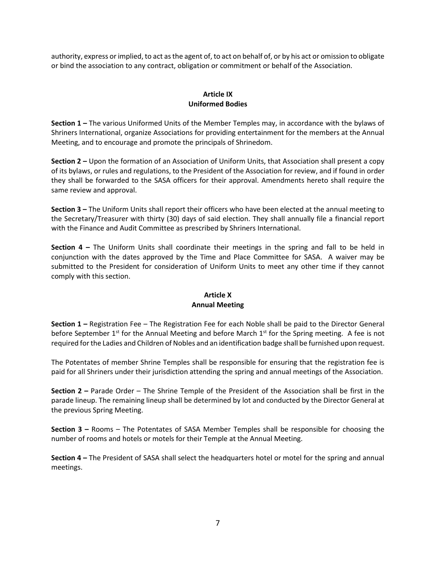authority, express or implied, to act as the agent of, to act on behalf of, or by his act or omission to obligate or bind the association to any contract, obligation or commitment or behalf of the Association.

# **Article IX Uniformed Bodies**

**Section 1 –** The various Uniformed Units of the Member Temples may, in accordance with the bylaws of Shriners International, organize Associations for providing entertainment for the members at the Annual Meeting, and to encourage and promote the principals of Shrinedom.

**Section 2 –** Upon the formation of an Association of Uniform Units, that Association shall present a copy of its bylaws, or rules and regulations, to the President of the Association for review, and if found in order they shall be forwarded to the SASA officers for their approval. Amendments hereto shall require the same review and approval.

**Section 3 –** The Uniform Units shall report their officers who have been elected at the annual meeting to the Secretary/Treasurer with thirty (30) days of said election. They shall annually file a financial report with the Finance and Audit Committee as prescribed by Shriners International.

**Section 4 –** The Uniform Units shall coordinate their meetings in the spring and fall to be held in conjunction with the dates approved by the Time and Place Committee for SASA. A waiver may be submitted to the President for consideration of Uniform Units to meet any other time if they cannot comply with this section.

#### **Article X Annual Meeting**

**Section 1 –** Registration Fee – The Registration Fee for each Noble shall be paid to the Director General before September 1<sup>st</sup> for the Annual Meeting and before March 1<sup>st</sup> for the Spring meeting. A fee is not required for the Ladies and Children of Nobles and an identification badge shall be furnished upon request.

The Potentates of member Shrine Temples shall be responsible for ensuring that the registration fee is paid for all Shriners under their jurisdiction attending the spring and annual meetings of the Association.

**Section 2 –** Parade Order – The Shrine Temple of the President of the Association shall be first in the parade lineup. The remaining lineup shall be determined by lot and conducted by the Director General at the previous Spring Meeting.

**Section 3 –** Rooms – The Potentates of SASA Member Temples shall be responsible for choosing the number of rooms and hotels or motels for their Temple at the Annual Meeting.

**Section 4 –** The President of SASA shall select the headquarters hotel or motel for the spring and annual meetings.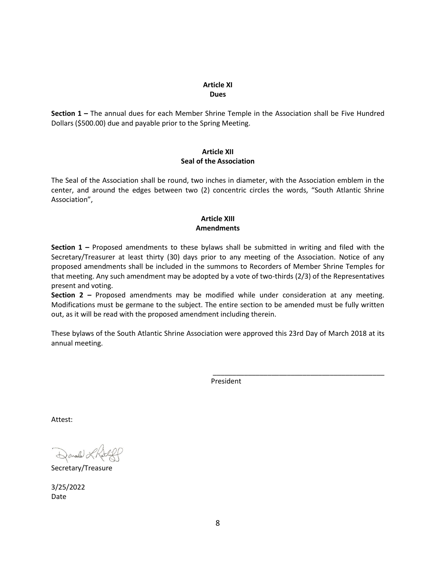#### **Article XI Dues**

**Section 1 –** The annual dues for each Member Shrine Temple in the Association shall be Five Hundred Dollars (\$500.00) due and payable prior to the Spring Meeting.

#### **Article XII Seal of the Association**

The Seal of the Association shall be round, two inches in diameter, with the Association emblem in the center, and around the edges between two (2) concentric circles the words, "South Atlantic Shrine Association",

# **Article XIII Amendments**

**Section 1 –** Proposed amendments to these bylaws shall be submitted in writing and filed with the Secretary/Treasurer at least thirty (30) days prior to any meeting of the Association. Notice of any proposed amendments shall be included in the summons to Recorders of Member Shrine Temples for that meeting. Any such amendment may be adopted by a vote of two-thirds (2/3) of the Representatives present and voting.

**Section 2 –** Proposed amendments may be modified while under consideration at any meeting. Modifications must be germane to the subject. The entire section to be amended must be fully written out, as it will be read with the proposed amendment including therein.

These bylaws of the South Atlantic Shrine Association were approved this 23rd Day of March 2018 at its annual meeting.

President

\_\_\_\_\_\_\_\_\_\_\_\_\_\_\_\_\_\_\_\_\_\_\_\_\_\_\_\_\_\_\_\_\_\_\_\_\_\_\_\_\_\_\_\_

Attest:

Donald à

Secretary/Treasure

3/25/2022 Date